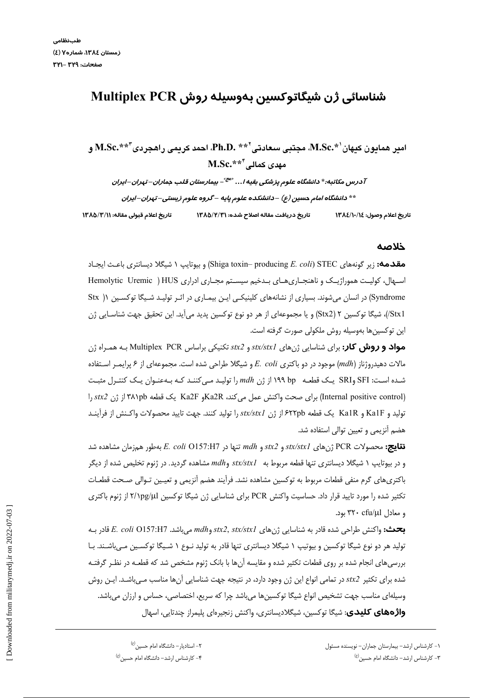# شناسائی ژن شیگاتوکسین بهوسیله روش Multiplex PCR

امبر همايون كيهان`\* M.Sc.\*، مجتبي سعادتي`\*\* Ph.D. لحمد كريمي راهجردي"\*\* M.Sc.\*  $\text{M.Sc.}^{\ast\ast\ast}$ مھدی کمالے

آدرس مکاتبه:\* دانشگاه علوم پزشکی بقیه ا... <sup>«عج»</sup>– بیمارستان قلب جماران– تهران–ایران \*\* دانشگاه امام حسین (ع) –دانشکده علوم پایه –گروه علوم زیستی–تپران–ایران تاريخ اعلام قبولي مقاله: ١٣٨٥/٣/١ تاریخ دریافت مقاله اصلاح شده: ۱۳۸۵/۲/۳۱ تاريخ اعلام وصول: ١٤/١٠/١٤

#### خلاصه

**مقدمه:** زیر گونههای STEC) (Shiga toxin– producing E. *coli*) و بیوتایپ ۱ شیگلا دیسانتری باعـث ایجـاد اسپهال، کولیت هموراژیک و ناهنجباری های بـدخیم سیسـتم مجباری ادراری Hemolytic Uremic ) HUS Syndrome) در انسان می شوند. بسیاری از نشانههای کلینیکـی ایـن بیمـاری در اثـر تولیـد شـیگا توکسـین ۱( Stx Stx1/)، شيگا توکسين ۲ (Stx2) و يا مجموعهاي از هر دو نوع توکسين پديد مي]يد. اين تحقيق جهت شناسـايي ژن این توکسینها بهوسیله روش ملکولی صورت گرفته است.

**مواد و روش کار:** برای شناسایی ژنهای stx/stx1 و stx2 تکنیکی براساس Multiplex PCR بـه همـراه ژن مالات دهیدروژناز (mdh) موجود در دو باکتری E. coli و شیگلا طراحی شده است. مجموعهای از ۶ پرایمـر اسـتفاده شده است: SFI وSRI یک قطعه op ۱۹۹ از ژن mdh را تولید می کنند کـه بـهعنـوان یـک کنتـرل مثبـت (Internal positive control) برای صحت واکنش عمل می کند، Ka2Rو Ka2F یک قطعه ۳۸۱pb از ژن stx2 را توليد و Ka1F و Ka1R يك قطعه ۶۲۲pb از ژن stx/stx1 را توليد كنند. جهت تاييد محصولات واكـنش از فرأينـد هضم آنزیمی و تعیین توالی استفاده شد.

**نتايج:** محصولات PCR ژنهاى stx/stx1 و stx2 و mdh تنها در E. coli O157:H7 بهطور همزمان مشاهده شد و در بیوتایپ ۱ شیگلا دیسانتری تنها قطعه مربوط به stx/stx1 و mdh مشاهده گردید. در ژنوم تخلیص شده از دیگر باکتری های گرم منفی قطعات مربوط به توکسین مشاهده نشد. فرآیند هضم آنزیمی و تعیـین تـوالی صـحت قطعـات تکثیر شده را مورد تایید قرار داد. حساسیت واکنش PCR برای شناسایی ژن شیگا توکسین ۲/۱pg/ul از ژنوم باکتری و معادل ۳۲۰ cfu/ul بود.

بحث: واكنش طراحي شده قادر به شناسايي ژنهاي stx2, stx/stx1 ميباشد. E. coli O157:H7 تادر بـه تولید هر دو نوع شیگا توکسین و بیوتیپ ۱ شیگلا دیسانتری تنها قادر به تولید نــوع ۱ شــیگا توکســین مــیباشــند. بــا بررسی های انجام شده بر روی قطعات تکثیر شده و مقایسه آن ها با بانک ژنوم مشخص شد که قطعـه در نظـر گرفتـه شده برای تکثیر 5tx2 در تمامی انواع این ژن وجود دارد، در نتیجه جهت شناسایی آنها مناسب مـیباشـد. ایـن روش وسیلهای مناسب جهت تشخیص انواع شیگا توکسینها میباشد چرا که سریع، اختصاصی، حساس و ارزان میباشد. **واژههای کلیدی**: شیگا توکسین، شیگلادیسانتری، واکنش زنجیرهای پلیمراز چندتایی، اسهال

۲– استادیار – دانشگاه امام حسین<sup>(ع)</sup>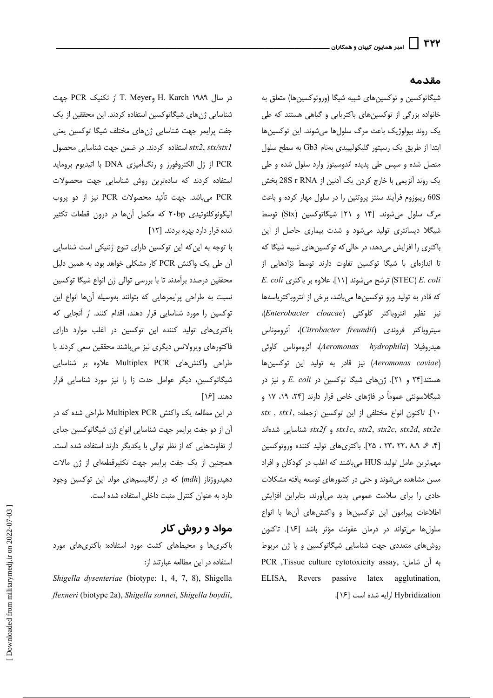#### مقدمه

شیگاتوکسین و توکسینهای شبیه شیگا (وروتوکسینها) متعلق به خانواده بزرگی از توکسینهای باکتریایی و گیاهی هستند که طی یک روند بیولوژیک باعث مرگ سلولها میشوند. این توکسینها ابتدا از طریق یک رسپتور گلیکولیپیدی بهنام Gb3 به سطح سلول متصل شده و سپس طی پدیده اندوسیتوز وارد سلول شده و طی یک روند آنزیمی با خارج کردن یک آدنین از 28S r RNA بخش 60S ریبوزوم فرآیند سنتز پروتئین را در سلول مهار کرده و باعث مرگ سلول می شوند. [۱۴ و ۲۱] شیگاتوکسین (Stx) توسط شیگلا دیسانتری تولید می شود و شدت بیماری حاصل از این باکتری را افزایش میدهد، در حالی که توکسینهای شبیه شیگا که تا اندازهای با شیگا توکسین تفاوت دارند توسط نژادهایی از  $E.$  Coli ترشح می شوند [۱۱]. علاوه بر باکتری (STEC) E. coli که قادر به تولید ورو توکسینها میباشد، برخی از انتروباکتریاسهها نيز نظير انتروباكتر كلوكئي (Enterobacter cloacae)، سيتروباكتر فروندى (Citrobacter freundii)، أئروموناس هيدروفيلا (Aeromonas hydrophila)، أئروموناس كاوئي (Aeromonas caviae) نيز قادر به توليد اين توكسينها هستند[۲۴ و ۲۱]. ژنهای شیگا توکسین در E. coli و نیز در شیگلاسونئی عموماً در فاژهای خاص قرار دارند [۲۴، ۱۹، ۱۷ و stx, stxl, المختلفي از اين توكسين ازجمله: .stx, stxl و stx2c, stx2c, stx2d, stx2e و stx2f شناسايي شدهاند [۴، ۶، ۲۴، ۲۲، ۲۳، ۲۵]. باکتریهای تولید کننده وروتوکسین مهم ترین عامل تولید HUS میباشند که اغلب در کودکان و افراد مسن مشاهده میشوند و حتی در کشورهای توسعه یافته مشکلات حادی را برای سلامت عمومی پدید میآورند، بنابراین افزایش اطلاعات پیرامون این توکسینها و واکنشهای آنها با انواع سلولها میتواند در درمان عفونت مؤثر باشد [۱۶]. تاکنون روش های متعددی جهت شناسایی شیگاتوکسین و یا ژن مربوط PCR ,Tissue culture cytotoxicity assay, : به آن شامل: ELISA, Revers passive latex agglutination, Hybridization ارايه شده است [۱۶].

در سال ۱۹۸۹ H. Karch و T. Meyer از تكنيك PCR جهت شناسایی ژنهای شیگاتوکسین استفاده کردند. این محققین از یک جفت پرایمر جهت شناسایی ژنهای مختلف شیگا توکسین یعنی استفاده كردند. در ضمن جهت شناسايي محصول stx2, stx/stx1 PCR از ژل الکتروفورز و رنگآمیزی DNA با اتیدیوم بروماید استفاده كردند كه سادهترين روش شناسايي جهت محصولات PCR میباشد. جهت تأئید محصولات PCR نیز از دو پروب الیگونوکلئوتیدی ۲۰bp که مکمل آنها در درون قطعات تکثیر شده قرار دارد بهره بردند. [١٢]

با توجه به این که این توکسین دارای تنوع ژنتیکی است شناسایی آن طی یک واکنش PCR کار مشکلی خواهد بود، به همین دلیل محققین درصدد برآمدند تا با بررسی توالی ژن انواع شیگا توکسین نسبت به طراحی پرایمرهایی که بتوانند بهوسیله آنها انواع این توکسین را مورد شناسایی قرار دهند، اقدام کنند. از آنجایی که باکتری های تولید کننده این توکسین در اغلب موارد دارای فاکتورهای ویرولانس دیگری نیز میباشند محققین سعی کردند با طراحی واکنش های Multiplex PCR علاوه بر شناسایی شیگاتوکسین، دیگر عوامل حدت زا را نیز مورد شناسایی قرار دهند. [۱۶]

در این مطالعه یک واکنش Multiplex PCR طراحی شده که در آن از دو جفت پرایمر جهت شناسایی انواع ژن شیگاتوکسین جدای از تفاوتهایی که از نظر توالی با یکدیگر دارند استفاده شده است. همچنین از یک جفت پرایمر جهت تکثیرقطعهای از ژن مالات دهیدروژناز (mdh) که در ارگانیسمهای مولد این توکسین وجود دارد به عنوان كنترل مثبت داخلى استفاده شده است.

# مواد و روش کار

باکتری ها و محیطهای کشت مورد استفاده: باکتری های مورد استفاده در این مطالعه عبارتند از:

Shigella dysenteriae (biotype: 1, 4, 7, 8), Shigella flexneri (biotype 2a), Shigella sonnei, Shigella boydii,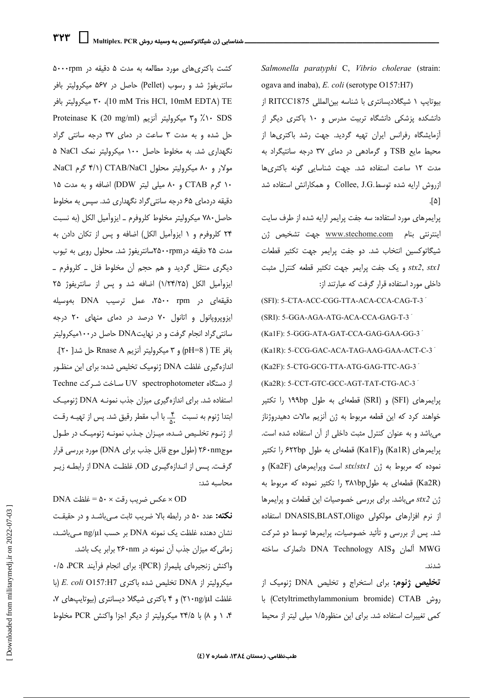کشت باکتری های مورد مطالعه به مدت ۵ دقیقه در ۵۰۰۰rpm سانتریفوژ شد و رسوب (Pellet) حاصل در ۵۶۷ میکرولیتر بافر ۳۰ میکرولیتر بافر ۳۰ ،(10 mM Tris HCl, 10mM EDTA) TE Proteinase K (20 mg/ml) و۳ میکرولیتر آنزیم حل شده و به مدت ٣ ساعت در دمای ٣٧ درجه سانتی گراد نگهداری شد. به مخلوط حاصل ۱۰۰ میکرولیتر نمک NaCl ۵ مولار و ۸۰ میکرولیتر محلول CTAB/NaCl (۴/۱ گرم NaCl، ۱۰ گرم CTAB و ۸۰ میلی لیتر DDW) اضافه و به مدت ۱۵ دقیقه دردمای ۶۵ درجه سانتی گراد نگهداری شد. سپس به مخلوط حاصل ٧٨٠ ميكروليتر مخلوط كلروفرم \_ ايزوآميل الكل (به نسبت ٢۴ كلروفرم و ١ ايزوآميل الكل) اضافه و پس از تكان دادن به مدت ۲۵ دقیقه در ۲۵۰۰rpmسانتریفوژ شد. محلول رویی به تیوب دیگری منتقل گردید و هم حجم آن مخلوط فنل ـ کلروفرم ـ ايزوآميل الكل (١/٢۴/٢۵) اضافه شد و پس از سانتريفوژ ٢۵ دقیقهای در ۲۵۰۰ ۲۵۰۰، عمل ترسیب DNA بهوسیله ایزوپروپانول و اتانول ۷۰ درصد در دمای منهای ۲۰ درجه سانتی گراد انجام گرفت و در نهایتDNA حاصل در ۱۰۰میکرولیتر بافر PH=8 ) TE و ۳ میکرولیتر آنزیم Rnase A حل شد[ ۲۰]. اندازهگیری غلظت DNA ژنومیک تخلیص شده: برای این منظـور از دستگاه UV spectrophotometer ساخت شرکت Techne استفاده شد. برای اندازهگیری میزان جذب نمونـه DNA ژنومیـک از ژنـوم تخلـیص شـده، میـزان جـذب نمونـه ژنومیـک در طـول موج ۲۶۰nm (طول موج قابل جذب براي DNA) مورد بررسي قرار گرفت. پس از انـدازهگیـری OD, غلظـت DNA از رابطـه زیـر محاسبه شد:

**نكته:** عدد ۵۰ در رابطه بالا ضريب ثابت م<sub>حى</sub>باشـد و در حقيقـت نشان دهنده غلظت یک نمونه DNA بر حسب ng/µl مــ, باشـد، زمانی که میزان جذب آن نمونه در ۲۶۰nm برابر یک باشد. واكنش زنجيرهاي پليمراز (PCR): براي انجام فرآيند PCR، ۰/۵ میکرولیتر از DNA تخلیص شده باکتری E. coli O157:H7 (با غلظت ۲۱۰ng/µl) و ۴ باکتری شیگلا دیسانتری (بیوتایپهای ۷، ۰۴ ( و ۸) با ۲۴/۵ میکرولیتر از دیگر اجزا واکنش PCR مخلوط

Salmonella paratyphi C, Vibrio cholerae (strain: ogava and inaba), E. coli (serotype O157:H7)

بيوتايپ ١ شيگلاديسانتري با شناسه بينالمللي RITCC1875 از دانشکده پزشکی دانشگاه تربیت مدرس و ۱۰ باکتری دیگر از آزمایشگاه رفرانس ایران تهیه گردید. جهت رشد باکتریها از محیط مایع TSB و گرمادهی در دمای ۳۷ درجه سانتیگراد به مدت ١٢ ساعت استفاده شد. جهت شناسایی گونه باکتریها ازروش ارايه شده توسط.Collee, J.G و همكارانش استفاده شد [۵].

پرایمرهای مورد استفاده: سه جفت پرایمر ارایه شده از طرف سایت اینترنتی بنام www.stechome.com جهت تشخیص ژن شیگاتوکسین انتخاب شد. دو جفت پرایمر جهت تکثیر قطعات و یک جفت پرایمر جهت تکثیر قطعه کنترل مثبت stx2, stxl داخلی مورد استفاده قرار گرفت که عبارتند از:

(SFI): 5-CTA-ACC-CGG-TTA-ACA-CCA-CAG-T-3 (SRI): 5-GGA-AGA-ATG-ACA-CCA-GAG-T-3 (Ka1F): 5-GGG-ATA-GAT-CCA-GAG-GAA-GG-3 (Ka1R): 5-CCG-GAC-ACA-TAG-AAG-GAA-ACT-C-3 (Ka2F): 5-CTG-GCG-TTA-ATG-GAG-TTC-AG-3 (Ka2R): 5-CCT-GTC-GCC-AGT-TAT-CTG-AC-3 پرایمرهای (SFI) و (SRI) قطعهای به طول ۱۹۹bp را تکثیر خواهند کرد که این قطعه مربوط به ژن آنزیم مالات دهیدروژناز می باشد و به عنوان کنترل مثبت داخلی از آن استفاده شده است. پرایمرهای (Ka1R) و(Ka1F) قطعهای به طول ۶۲۲bp را تکثیر نموده که مربوط به ژن stx/stx1 است وپرایمرهای (Ka2F) و (Ka2R) قطعهای به طول ۳۸۱bp را تکثیر نموده که مربوط به  $f(x)$ ژن stx2 میباشد. برای بررسی خصوصیات این قطعات و پرایمرها از نرم افزارهای مولکولی DNASIS,BLAST,Oligo استفاده شد. پس از بررسی و تأئید خصوصیات، پرایمرها توسط دو شرکت MWG ألعان وDNA Technology AIS دانعارك ساخته شدند.

**تخلیص ژنوم:** برای استخراج و تخلیص DNA ژنومیک از با (Cetyltrimethylammonium bromide) CTAB) با کمی تغییرات استفاده شد. برای این منظور۱/۵ میلی لیتر از محیط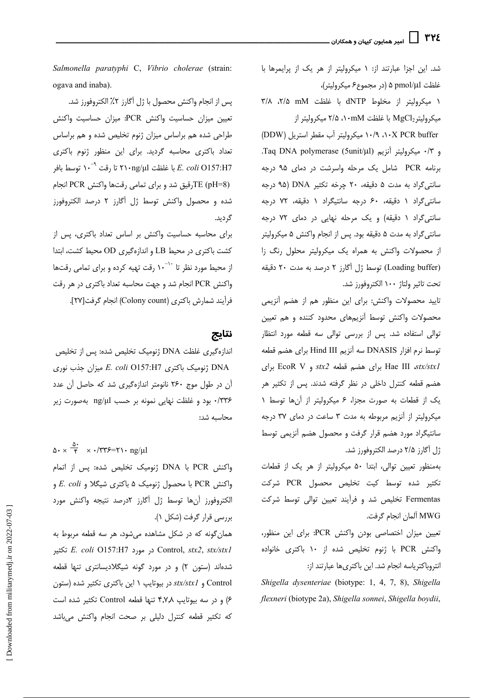شد. این اجزا عبارتند از: ۱ میکرولیتر از هر یک از پرایمرها با غلظت pmol/µl ۵ (در مجموع۶ میکرولیتر)،

١ ميكروليتر از مخلوط dNTP با غلظت mM ٢/٨، ٢/٥ میکرولیتر MgCl2 با غلظت ۰۱۰mM۱ میکرولیتر از

۱۰/۹ ، ۱۰/۹ میکرولیتر آب مقطر استریل (DDW) و ۰/۳ میکرولیتر آنزیم Taq DNA polymerase (5unit/µl). برنامه PCR شامل یک مرحله واسرشت در دمای ۹۵ درجه سانتی گراد به مدت ۵ دقیقه، ۲۰ چرخه تکثیر DNA (۹۵ درجه سانتی گراد ١ دقیقه، ۶۰ درجه سانتیگراد ١ دقیقه، ٧٢ درجه سانتی گراد ١ دقیقه) و یک مرحله نهایی در دمای ٧٢ درجه سانتي گراد به مدت ۵ دقيقه بود. پس از انجام واكنش ۵ ميكروليتر از محصولات واکنش به همراه یک میکرولیتر محلول رنگ زا (Loading buffer) توسط ژل آگارز ۲ درصد به مدت ۲۰ دقیقه تحت تاثير ولتاژ ١٠٠ الكتروفورز شد.

تاييد محصولات واكنش: براي اين منظور هم از هضم آنزيمي .<br>محصولات واکنش توسط آنزیمهای محدود کننده و هم تعیین توالی استفاده شد. پس از بررسی توالی سه قطعه مورد انتظار توسط نرم افزار DNASIS سه آنزیم Hind III برای هضم قطعه Hae III stx/stxl برای هضم قطعه stx2 و EcoR V برای هضم قطعه کنترل داخلی در نظر گرفته شدند. پس از تکثیر هر یک از قطعات به صورت مجزا، ۶ میکرولیتر از آنها توسط ۱ میکرولیتر از آنزیم مربوطه به مدت ۳ ساعت در دمای ۳۷ درجه سانتیگراد مورد هضم قرار گرفت و محصول هضم آنزیمی توسط ژل آگارز ۲/۵ درصد الکتروفورز شد.

بهمنظور تعیین توالی، ابتدا ۵۰ میکرولیتر از هر یک از قطعات تكثير شده توسط كيت تخليص محصول PCR شركت Fermentas تخلیص شد و فرآیند تعیین توالی توسط شرکت MWG ألمان انجام گرفت.

تعيين ميزان اختصاصي بودن واكنش PCR: براي اين منظور، واكنش PCR با ژنوم تخليص شده از ۱۰ باكترى خانواده انتروباكترياسه انجام شد. اين باكترىها عبارتند از:

Shigella dysenteriae (biotype: 1, 4, 7, 8), Shigella flexneri (biotype 2a), Shigella sonnei, Shigella boydii,

Salmonella paratyphi C, Vibrio cholerae (strain: ogava and inaba).

پس از انجام واکنش محصول با ژل اَگارز ۲٪ الکتروفورز شد. تعيين ميزان حساسيت واكنش PCR: ميزان حساسيت واكنش طراحی شده هم براساس میزان ژنوم تخلیص شده و هم براساس تعداد باكترى محاسبه گرديد. براى اين منظور ژنوم باكترى با غلظت ۲۱۰ $\mathsf{n}$ ۳۱ تا رقت ۱۰<sup>-۹ ت</sup>وسط بافر *E. coli* O157:H7 (pH=8) TEترقیق شد و برای تمامی رقتها واکنش PCR انجامTE شده و محصول واكنش توسط ژل آگارز ٢ درصد الكتروفورز گردىد.

برای محاسبه حساسیت واکنش بر اساس تعداد باکتری، پس از كشت باكترى در محيط LB و اندازهگيرى OD محيط كشت، ابتدا از محیط مورد نظر تا <sup>۱۰-</sup>۱۰ رقت تهیه کرده و برای تمامی رقتها واکنش PCR انجام شد و جهت محاسبه تعداد باکتری در هر رقت فرأيند شمارش باكترى (Colony count) انجام گرفت[٢٧].

## نتايج

اندازهگیری غلظت DNA ژنومیک تخلیص شده: پس از تخلیص DNA ژنومیک باکتری E. coli O157:H7 میزان جذب نوری آن در طول موج ۲۶۰ نانومتر اندازهگیری شد که حاصل آن عدد ۳۳۶/۰ بود و غلظت نهایی نمونه بر حسب ng/µl بهصورت زیر محاسبه شد:

 $\Delta \cdot \times \frac{\Delta^2}{f}$  x · /٣٣۶=٢١٠ ng/μl

واكنش PCR با DNA ژنوميك تخليص شده: پس از اتمام واكنش PCR با محصول ژنومیک ۵ باكترى شیگلا و E. coli و الكتروفورز أنها توسط ژل أكارز ٢درصد نتيجه واكنش مورد بررسی قرار گرفت (شکل ۱).

همان گونه که در شکل مشاهده می شود، هر سه قطعه مربوط به تكثير E. coli O157:H7 در مورد Control, stx2, stx/stx1 شدهاند (ستون ۲) و در مورد گونه شیگلادیسانتری تنها قطعه Control و stx/stx1 در بیوتایپ ١ این باکتری تکثیر شده (ستون ۶) و در سه بیوتایپ ۴٫۷٫۸ تنها قطعه Control تکثیر شده است كه تكثير قطعه كنترل دليلى بر صحت انجام واكنش مىباشد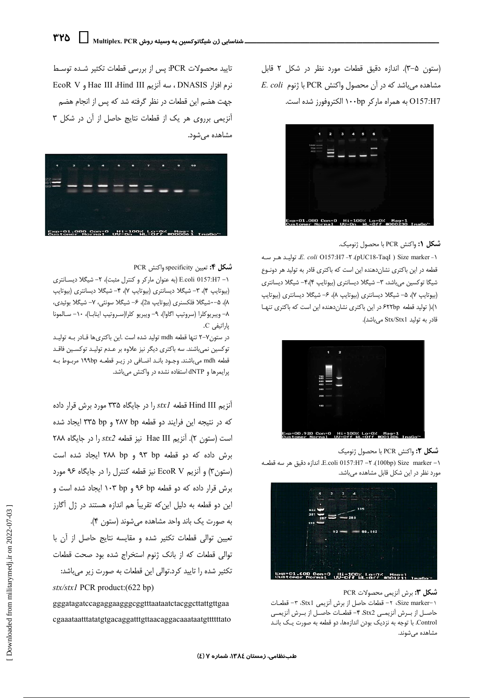(ستون ۵–۳). اندازه دقیق قطعات مورد نظر در شکل ۲ قابل  $E.$  coli با ژنوم PCR باشد که در آن محصول واکنش O157:H7 به همراه ماركر ۱۰۰bp الكتروفورز شده است.



## **شكل (:** واكنش PCR با محصول ژنوميك.

*E. coli* O157:H7 -٢ ،(pUC18-TaqI) Size marker -١، توليـد هـر سـه قطعه در این باکتری نشاندهنده این است که باکتری قادر به تولید هر دونوع شیگا توکسین میباشد، ۳- شیگلا دیسانتری (بیوتایپ ۴٫(۴- شیگلا دیسانتری (بیوتایپ ۷)، ۵- شیگلا دیسانتری (بیوتایپ ۸)، ۶- شیگلا دیسانتری (بیوتایپ ١)،( تولید قطعه ۶۲۲bp در این باکتری نشاندهنده این است که باکتری تنها قادر به تولید Stx/Stx1 میباشد).



شكل ٢: واكنش PCR با محصول ژنوميك 1− E.coli 0157:H7 −٢. اندازه دقيق هر سه قطعه. E.coli 0157:H7 →۲. مورد نظر در این شکل قابل مشاهده میباشد.



#### **شكل ٣:** برش آنزيمي محصولات PCR

١-Size marker، ٢- قطعات حاصل از برش آنزيمي Stx1، ٣- قطعـات حاصـل از بـرش آنزيمـي Stx2. ۴- قطعـات حاصـل از بـرش آنزيمـي Control. با توجه به نزدیک بودن اندازهها، دو قطعه به صورت یک بانـد مشاهده مے شوند.

تاييد محصولات PCR: يس از بررسي قطعات تكثير شـده توسـط نرم افزار DNASIS ، سه آنزیم Hae III ،Hind III و EcoR V جهت هضم این قطعات در نظر گرفته شد که پس از انجام هضم آنزیمی برروی هر یک از قطعات نتایج حاصل از آن در شکل ۳ مشاهده می شود.



## شكل ۴: تعيين specificity واكنش PCR

۱- E.coli 0157:H7 (به عنوان ماركر و كنترل مثبت)، ۲- شيگلا ديسانترى (بیوتایپ ۴)، ۳- شیگلا دیسانتری (بیوتایپ ۷)، ۴- شیگلا دیسانتری (بیوتایپ ۸)، ۵–∙شیگلا فلکسنری (بیوتایپ 2a)، ۶– شیگلا سونئی، ۷– شیگلا بوئیدی، ٨– ويبريوكلرا (سروتيپ اگاوا)، ٩– ويبريو كلرا(سـروتيپ اينابـا)، ٦٠– سـالمونا یا, اتیفی C.

در ستونV-۲ تنها قطعه mdh توليد شده است .اين باكترىها قـادر بـه توليـد توکسین نمیباشند. سه باکتری دیگر نیز علاوه بر عـدم تولیـد توکسـین فاقـد قطعه mdh می باشند. وجـود بانـد اضـافی در زیـر قطعـه ۱۹۹bp مربـوط بـه پرایمرها و dNTP استفاده نشده در واکنش میباشد.

آنزیم Hind III قطعه stxl را در جایگاه ۳۳۵ مورد برش قرار داده که در نتیجه این فرایند دو قطعه ۲۸۷ bp و ۳۳۵ pp ایجاد شده است (ستون ٢). آنزيم Hae III نيز قطعه stx2 را در جايگاه ٢٨٨ برش داده که دو قطعه ۹۳ bp و ۲۸۸ bp ایجاد شده است (ستون٣) و آنزيم EcoR V نيز قطعه كنترل را در جايگاه ٩۶ مورد برش قرار داده که دو قطعه bp و ۹۶ ۱۰۳ ایجاد شده است و این دو قطعه به دلیل این که تقریباً هم اندازه هستند در ژل آگارز به صورت یک باند واحد مشاهده می شوند (ستون ۴).

تعيين توالى قطعات تكثير شده و مقايسه نتايج حاصل از آن با توالی قطعات که از بانک ژنوم استخراج شده بود صحت قطعات تكثير شده را تاييد كرد.توالي اين قطعات به صورت زير مىباشد: stx/stx1 PCR product:(622 bp)

gggatagatccagaggaagggcggtttaataatctacggcttattgttgaa cgaaataatttatatgtgacaggatttgttaacaggacaaataatgttttttato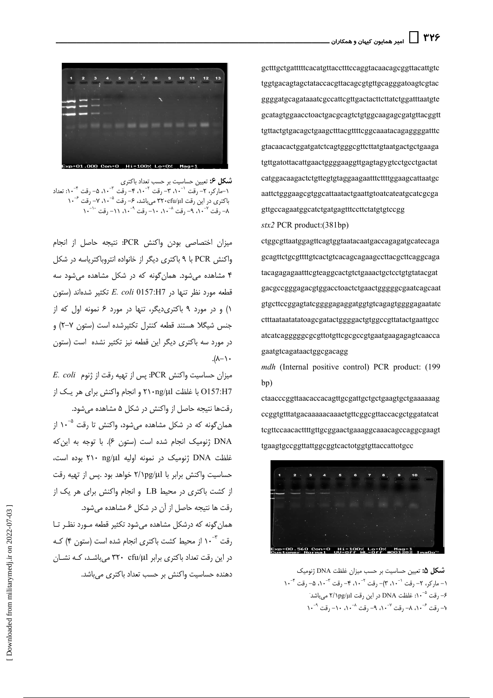

**شکل ۶:** تعیین حساسیت بر حسب تعداد باکتری<br>۱–مارکر، ۲– رقت ۱۰-۲، ۳– رقت <sup>۲</sup>-۸۰، ۴– رقت <sup>۳</sup>-۸۰، ۵– رقت ۱<sup>۰–۲</sup>: تعداد باکتری در این رقت ۳۲۰cfu/µ۱ میباشد، ۶- رقت °-۱۰، ۷- رقت <sup>۶</sup>-۱۰ ٨- ,قت ٠-١، ٩- ,قت ٠-١، ٠١- ,قت ٠-١، ١١- ,قت ٠-١، ١١- ,قت ٠-١٠

ميزان اختصاصي بودن واكنش PCR: نتيجه حاصل از انجام واکنش PCR با ۹ باکتری دیگر از خانواده انتروباکتریاسه در شکل ۴ مشاهده می شود. همان گونه که در شکل مشاهده می شود سه قطعه مورد نظر تنها در E. coli 0157:H7 تكثير شدهاند (ستون ١) و در مورد ٩ باكترى ديگر، تنها در مورد ۶ نمونه اول كه از جنس شيگلا هستند قطعه كنترل تكثيرشده است (ستون ٧−٢) و در مورد سه باکتری دیگر این قطعه نیز تکثیر نشده است (ستون  $\cdot$  /  $-\lambda$ ).

 $E.$  coli (تنوم: PCR): پس از تهيه رقت از ژنوم: E. coli O157:H7 با غلظت ۲۱۰ng/μl و انجام واکنش برای هر یک از رقتها نتیجه حاصل از واکنش در شکل ۵ مشاهده می شود. همان *گ*ونه که در شکل مشاهده میشود، واکنش تا رقت <sup>۵</sup>-۱۰ از DNA ژنومیک انجام شده است (ستون ۶). با توجه به این که غلظت DNA ژنومیک در نمونه اولیه ۲۱۰ ng/µl بوده است، حساسیت واکنش برابر با ۲/۱pg/µl خواهد بود .پس از تهیه رقت از کشت باکتری در محیط LB و انجام واکنش برای هر یک از رقت ها نتیجه حاصل از آن در شکل ۶ مشاهده می شود. همان گونه که درشکل مشاهده میشود تکثیر قطعه مـورد نظـر تـا رقت ۱۰<sup>۰۳</sup> از محیط کشت باکتری انجام شده است (ستون ۴) کـه در این رقت تعداد باکتری برابر ۳۲۰ cfu/µl میباشد، کـه نشـان دهنده حساسیت واکنش بر حسب تعداد باکتری میباشد.

gctttgctgatttttcacatgttacctttccaggtacaacagcggttacattgtc tggtgacagtagctataccacgttacagcgtgttgcagggatoagtcgtac ggggatgcagataaatcgccattcgttgactacttcttatctggatttaatgte gcatagtggaacctoactgacgcagtctgtggcaagagcgatgttacggtt tgttactgtgacagctgaagctttacgttttcggcaaatacagaggggatttc gtacaacactggatgatctcagtgggcgttcttatgtaatgactgctgaaga tgttgatottacattgaactggggaaggttgagtagygtcctgcctgactat catggacaagactctgttegtgtaggaagaatttcttttggaagcattaatgc aattetgggaagegtggeattaataetgaattgtoateateatgeategega gttgccagaatggcatctgatgagtttccttctatgtgtccgg

 $stx2$  PCR product: (381bp)

ctggcgttaatggagttcagtggtaatacaatgaccagagatgcatecaga gcagttctgcgttttgtcactgtcacagcagaagccttacgcttcaggcaga tacagagagaatttcgteaggcactgtctgaaactgctcctgtgtatacgat gacgccgggagacgtggacctoactctgaactgggggggaatcagcaat gtgcttccggagtatcggggagaggatggtgtcagagtgggggagaatatc ctttaataatatatoagcgatactggggactgtggccgttatactgaattgcc atcatcaggggggcgcgttotgttcgcgccgtgaatgaagagagtcaacca gaatgtcagataactggcgacagg

mdh (Internal positive control) PCR product: (199 bp)

ctaacccggttaacaccacagttgcgattgctgctgaagtgctgaaaaaag ccggtgtttatgacaaaaacaaaetgttcggcgttaccacgctggatatcat tcgttccaacacttttgttgcggaactgaaaggcaaacagccaggcgaagt tgaagtgccggttattggcggtcactotggtgttaccattotgcc



شكل ۵: تعيين حساسيت بر حسب ميزان غلظت DNA ژنوميک ۱– مارکر، ۲– رقت ``۸۰، ۳)– رقت <sup>۲–</sup>۱۰، ۴– رقت <sup>۳–</sup>۸۰، ۵– رقت <sup>۴–</sup>۱۰ ۶– ,قت <sup>۵– ۱</sup>۰: غلظت DNA در این ,قت ۲/۱pg/µ1 می باشد<sup>.</sup> ۱۰- قت <sup>۶-</sup>۰۰، ۸- , قت <sup>۷-</sup>۰۰، ۹- , قت <sup>۸-۰</sup>۰، ۱۰- , قت <sup>۹-</sup>۰۰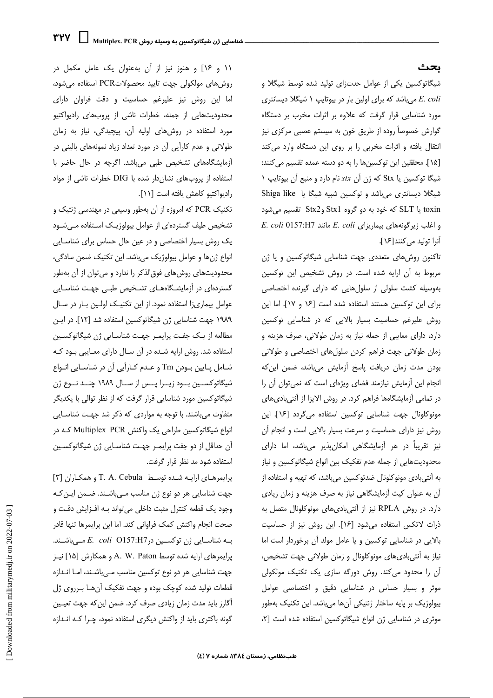## ىحث

شیگاتوکسین یکی از عوامل حدتزای تولید شده توسط شیگلا و E. coli می باشد که برای اولین بار در بیوتایپ ۱ شیگلا دیسانتری مورد شناسایی قرار گرفت که علاوه بر اثرات مخرب بر دستگاه گوارش خصوصاً روده از طریق خون به سیستم عصبی مرکزی نیز انتقال یافته و اثرات مخربی را بر روی این دستگاه وارد می کند [١۵]. محققین این توکسینها را به دو دسته عمده تقسیم می کنند: شیگا توکسین یا Stx که ژن آن stx نام دارد و منبع آن بیوتایپ ۱ شیگلا دیسانتری میباشد و توکسین شبیه شیگا یا Shiga like toxin یا SLT که خود به دو گروه Stx1 وStx2 تقسیم میشود  $E.~coli~0157:H7$  و اغلب زیرگونههای بیماریزای  $E.~coli~0157:H7$ آنرا توليد مي كنند[١۶].

تاکنون روشهای متعددی جهت شناسایی شیگاتوکسین و یا ژن مربوط به آن ارایه شده است. در روش تشخیص این توکسین بهوسیله کشت سلولی از سلولهایی که دارای گیرنده اختصاصی برای این توکسین هستند استفاده شده است [۱۶ و ۱۷]. اما این روش علیرغم حساسیت بسیار بالایی که در شناسایی توکسین دارد، دارای معایبی از جمله نیاز به زمان طولانی، صرف هزینه و زمان طولانی جهت فراهم کردن سلولهای اختصاصی و طولانی بودن مدت زمان دریافت پاسخ آزمایش میباشد، ضمن این که انجام این آزمایش نیازمند فضای ویژهای است که نمی توان آن را در تمامی آزمایشگاهها فراهم کرد. در روش الایزا از آنتیبادیهای مونوكلونال جهت شناسايي توكسين استفاده مي گردد [١۶]. اين روش نیز دارای حساسیت و سرعت بسیار بالایی است و انجام آن نیز تقریباً در هر آزمایشگاهی امکان پذیر میباشد، اما دارای محدودیتهایی از جمله عدم تفکیک بین انواع شیگاتوکسین و نیاز به آنتی بادی مونوکلونال ضدتوکسین می باشد، که تهیه و استفاده از آن به عنوان کیت آزمایشگاهی نیاز به صرف هزینه و زمان زیادی دارد. در روش RPLA نیز از آنتیبادیهای مونوکلونال متصل به ذرات لاتكس استفاده مى شود [١۶]. اين روش نيز از حساسيت بالایی در شناسایی توکسین و یا عامل مولد آن برخوردار است اما نیاز به آنتیبادی های مونوکلونال و زمان طولانی جهت تشخیص، آن را محدود می کند. روش دورگه سازی یک تکنیک مولکولی موثر و بسیار حساس در شناسایی دقیق و اختصاصی عوامل بیولوژیک بر پایه ساختار ژنتیکی آنها میباشد. این تکنیک بهطور موثری در شناسایی ژن انواع شیگاتوکسین استفاده شده است [۲،

١١ و ١٤] و هنوز نيز از آن بهعنوان يک عامل مکمل در روش های مولکولی جهت تایید محصولاتPCR استفاده می شود، اما این روش نیز علیرغم حساسیت و دقت فراوان دارای محدودیتهایی از جمله، خطرات ناشی از پروبهای رادیواکتیو مورد استفاده در روشهای اولیه آن، پیچیدگی، نیاز به زمان طولانی و عدم کارآیی آن در مورد تعداد زیاد نمونههای بالینی در آزمایشگاههای تشخیص طبی میباشد. اگرچه در حال حاضر با استفاده از یروبهای نشان دار شده با DIG خطرات ناشی از مواد راديواكتيو كاهش يافته است [١١].

تکنیک PCR که امروزه از آن بهطور وسیعی در مهندسی ژنتیک و تشخیص طیف گستردهای از عوامل بیولوژیک استفاده می شود یک روش بسیار اختصاصی و در عین حال حساس برای شناسـایی انواع ژنها و عوامل بیولوژیک میباشد. این تکنیک ضمن سادگی، محدودیتهای روشهای فوق|لذکر را ندارد و میتوان از آن بهطور گستردهای در آزمایشگاههـای تشـخیص طبـی جهـت شناسـایی عوامل بیماری;ا استفاده نمود. از این تکنیـک اولـین بـار در سـال ١٩٨٩ جهت شناسايي ژن شيگاتوكسين استفاده شد [١٢]. در اين مطالعه از یک جفت پرایمـر جهـت شناسـایی ژن شیگاتوکسـین استفاده شد. روش ارایه شده در آن سال دارای معایبی بود که شـامل پـایین بـودن Tm و عـدم کـارایی آن در شناسـایی انـواع شیگاتوکسین بود زیـرا پـس از سـال ۱۹۸۹ چنـد نـوع ژن شیگاتوکسین مورد شناسایی قرار گرفت که از نظر توالی با یکدیگر متفاوت میباشند. با توجه به مواردی که ذکر شد جهت شناسایی انواع شیگاتوکسین طراحی یک واکنش Multiplex PCR که در آن حداقل از دو جفت پرایم ر جهـت شناسـایی ژن شیگاتوکسـین استفاده شود مد نظر قرار گرفت.

یرایمرهای ارایه شده توسط T. A. Cebula و همکاران [۳] جهت شناسایی هر دو نوع ژن مناسب مهیباشـند. ضـمن ایـن کـه وجود یک قطعه کنترل مثبت داخلی می تواند بـه افـزایش دقـت و صحت انجام واكنش كمك فراواني كند. اما اين پرايمرها تنها قادر به شناسـایی ژن توکسـین در E. coli O157:H7 مــی باشـند. پرایمرهای ارایه شده توسط A. W. Paton و همکارش [۱۵] نیـز جهت شناسایی هر دو نوع توکسین مناسب میباشند، امـا انـدازه قطعات تولید شده کوچک بوده و جهت تفکیک آنهـا بـرروی ژل آگارز باید مدت زمان زیادی صرف کرد. ضمن این که جهت تعیـین گونه باکتری باید از واکنش دیگری استفاده نمود، چـرا کـه انـدازه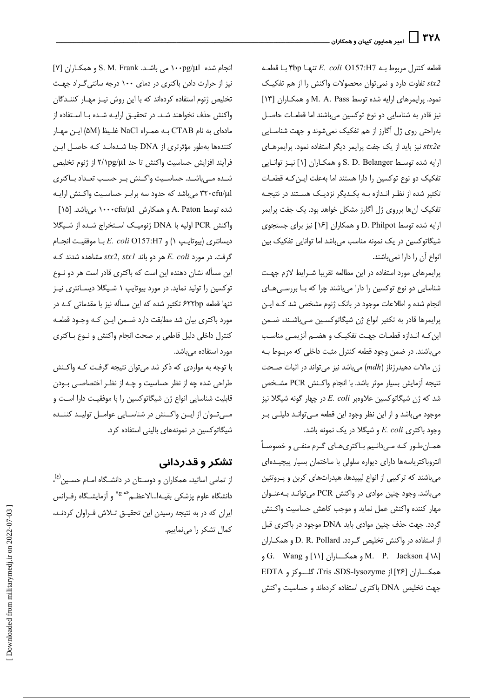قطعه كنترل مربوط بـه E. coli O157:H7 تنها ۴bp؟ با قطعـه تفاوت دارد و نمی توان محصولات واکنش را از هم تفکیک نمود. پرایمرهای ارایه شده توسط M. A. Pass و همکاران [۱۳] نيز قادر به شناسايي دو نوع توكسين مي باشند اما قطعـات حاصـل بهراحتی روی ژل آگارز از هم تفکیک نمیشوند و جهت شناسـایی نیز باید از یک جفت پرایمر دیگر استفاده نمود. پرایمرهای ارایه شده توسط S. D. Belanger و همکـاران [۱] نیـز توانـایی تفکیک دو نوع توکسین را دارا هستند اما بهعلت ایـن کـه قطعـات تکثیر شده از نظـر انـدازه بـه یکـدیگر نزدیـک هسـتند در نتیجـه تفکیک آنها برروی ژل آگارز مشکل خواهد بود. یک جفت پرایمر ارایه شده توسط D. Philpot و همکاران [۱۶] نیز برای جستجوی شیگاتوکسین در یک نمونه مناسب میباشد اما توانایی تفکیک بین انواع آن را دارا نمي باشند.

پرایمرهای مورد استفاده در این مطالعه تقریبا شـرایط لازم جهت شناسایی دو نوع توکسین را دارا میباشند چرا که بـا بررسـی هـای انجام شده و اطلاعات موجود در بانک ژنوم مشخص شد کـه ایـن پرایمرها قادر به تکثیر انواع ژن شیگاتوکسین میباشند، ضمن این کـه انـدازه قطعـات جهـت تفکیـک و هضـم آنزیمـي مناسـب می باشند. در ضمن وجود قطعه کنترل مثبت داخلی که مربوط بـه  $\hat{\tau}$ ژن مالات دهیدرژناز (mdh) میباشد نیز میتواند در اثبات صحت نتيجه آزمايش بسيار موثر باشد. با انجام واكـنش PCR مشخص شد که ژن شیگاتوکسین علاوهبر E. coli در چهار گونه شیگلا نیز موجود میباشد و از این نظر وجود این قطعه مـیتوانـد دلیلـی بـر وجود باكترى E. coli و شيگلا در يک نمونه باشد.

همـان طـور کـه مـی‹انـیم بـاکتریِهـای گـرم منفـی و خصوصـاً انتروباکتریاسهها دارای دیواره سلولی با ساختمان بسیار پیچیـدهای میباشند که ترکیبی از انواع لیپیدها، هیدراتهای کربن و پـروتئین میباشد. وجود چنین موادی در واکنش PCR میتوانـد بـهعنـوان مهار كننده واكنش عمل نمايد و موجب كاهش حساسيت واكـنش گردد. جهت حذف چنین موادی باید DNA موجود در باکتری قبل از استفاده در واکنش تخلیص گـردد. D. R. Pollard و همکـاران [۱۸] M. P. Jackson و همكــاران [۱۱] و G. Wang همكــاران [۲۶] از Tris ،SDS-lysozyme، گلـــوكز و EDTA جهت تخلیص DNA باکتری استفاده کردهاند و حساسیت واکنش

[Y] انجام شده S. M. Frank می باشـد. S. M. Frank و همكـاران نیز از حرارت دادن باکتری در دمای ١٠٠ درجه سانتی گراد جهت تخلیص ژنوم استفاده کردهاند که با این روش نیـز مهـار کننـدگان واكنش حذف نخواهند شـد. در تحقیـق ارایـه شـده بـا اسـتفاده از مادهای به نام CTAB به همراه NaCl غليظ (۵M) اين مهار کنندهها بهطور مؤثرتری از DNA جدا شـدهانـد کـه حاصـل ایـن فرآيند افزايش حساسيت واكنش تا حد ٢/١pg/μl از ژنوم تخليص شـده مــ باشـد. حساسـيت واكـنش بـر حسـب تعـداد بــاكترى ۳۲۰cfu/µ1 میباشد که حدود سه براب رحساسیت واکنش ارایـه شده توسط A. Paton و همکارش ۱۰۰۰cfu/μl میباشد. [۱۵] واكنش PCR اوليه با DNA ژنوميك استخراج شده از شيگلا ديسانتري (بيوتايب ١) و E. coli O157:H7 بـا موفقيت انجـام  $\xi$ گرفت. در مورد E. coli هر دو باند stx2, stx1 مشاهده شدند ک این مسأله نشان دهنده این است که باکتری قادر است هر دو نـوع توکسین را تولید نماید. در مورد بیوتایپ ۱ شـیگلا دیسـانتری نیـز تنها قطعه ۶۲۲bp تکثیر شده که این مسأله نیز با مقدماتی کـه در مورد باكترى بيان شد مطابقت دارد ضـمن ايـن كـه وجـود قطعـه كنترل داخلي دليل قاطعي بر صحت انجام واكنش و نـوع بـاكترى مورد استفاده می باشد.

با توجه به مواردی که ذکر شد می توان نتیجه گرفت کـه واکـنش طراحی شده چه از نظر حساسیت و چـه از نظـر اختصاصـی بـودن قابلیت شناسایی انواع ژن شیگاتوکسین را با موفقیت دارا است و مهتوان از این واکنش در شناسایی عوامل تولید کننده شیگاتوکسین در نمونههای بالینی استفاده کرد.

# تشكر و قدرداني

از تمامی اساتید، همکاران و دوسـتان در دانشـگاه امـام حسـین<sup>(ع)</sup>، دانشگاه علوم پزشکی بقیـه|...الاعظـم<sup>«عـج»</sup> و آزمایشـگاه رفـرانس ایران که در به نتیجه رسیدن این تحقیـق تـلاش فـراوان کردنـد، كمال تشكر را مى نماييم.